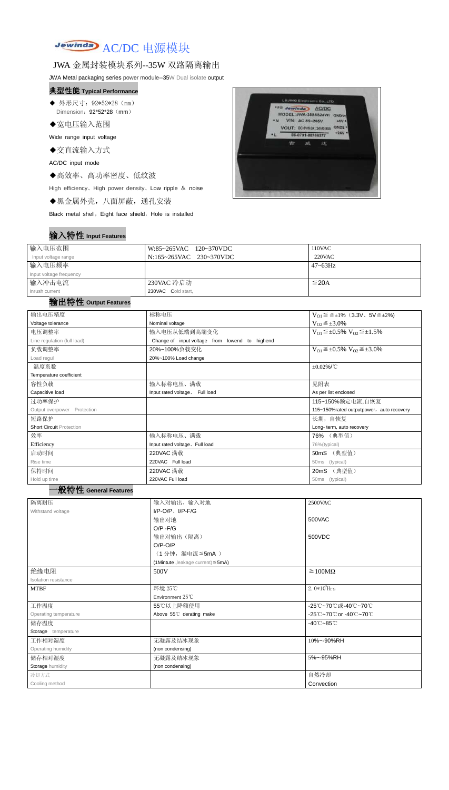# Jewinday AC/DC 电源模块

### JWA 金属封装模块系列--35W 双路隔离输出

JWA Metal packaging series power module--35W Dual isolate output

- ◆ 外形尺寸: 92\*52\*28 (mm) Dimension: 92\*52\*28 (mm)
- ◆宽电压输入范围

#### 典型性能 **Typical Performance**

Wide range input voltage

◆交直流输入方式

AC/DC input mode

◆高效率、高功率密度、低纹波

High efficiency、High power density、Low ripple & noise

◆黑金属外壳,八面屏蔽,通孔安装

Black metal shell, Eight face shield, Hole is installed

# 输入特性 **Input Features**



| 输入电压范围                  | W:85~265VAC 120~370VDC  | 110VAC          |
|-------------------------|-------------------------|-----------------|
| Input voltage range     | N:165~265VAC 230~370VDC | 220VAC          |
| 输入电压频率                  |                         | $47 \sim 63$ Hz |
| Input voltage frequency |                         |                 |
| 输入冲击电流                  | 230VAC 冷启动              | $\leq$ 20A      |
| Inrush current          | 230VAC Cold start,      |                 |

#### 输出特性 **Output Features**

# 一般特性 **General Features**

| 输出电压精度                          | 标称电压                                           | $V_{01} \le \le \pm 1\%$ (3.3V, 5V $\le \pm 2\%$ )    |  |  |  |
|---------------------------------|------------------------------------------------|-------------------------------------------------------|--|--|--|
| Voltage tolerance               | Nominal voltage                                | $V_{O2} \leq \pm 3.0\%$                               |  |  |  |
| 电压调整率                           | 输入电压从低端到高端变化                                   | $V_{O1} \leq \pm 0.5\% \text{ V}_{O2} \leq \pm 1.5\%$ |  |  |  |
| Line regulation (full load)     | Change of input voltage from lowend to highend |                                                       |  |  |  |
| 负载调整率                           | 20%~100%负载变化                                   | $V_{O1} \leq \pm 0.5\% \text{ V}_{O2} \leq \pm 3.0\%$ |  |  |  |
| Load regul                      | 20%~100% Load change                           |                                                       |  |  |  |
| 温度系数                            |                                                | $\pm 0.02\%$ /°C                                      |  |  |  |
| Temperature coefficient         |                                                |                                                       |  |  |  |
| 容性负载                            | 输入标称电压、满载                                      | 见附表                                                   |  |  |  |
| Capacitive load                 | Input rated voltage, Full load                 | As per list enclosed                                  |  |  |  |
| 过功率保护                           |                                                | 115~150%额定电流,自恢复                                      |  |  |  |
| Output overpower Protection     |                                                | 115~150%rated outputpower, auto recovery              |  |  |  |
| 短路保护                            |                                                | 长期, 自恢复                                               |  |  |  |
| <b>Short Circuit Protection</b> |                                                | Long- term, auto recovery                             |  |  |  |
| 效率                              | 输入标称电压、满载                                      | 76% (典型值)                                             |  |  |  |
| Efficiency                      | Input rated voltage. Full load                 | 76%(typical)                                          |  |  |  |
| 启动时间                            | 220VAC 满载                                      | (典型值)<br>50mS                                         |  |  |  |
| Rise time                       | 220VAC Full load                               | (typical)<br>50ms                                     |  |  |  |
| 保持时间                            | 220VAC 满载                                      | (典型值)<br>20mS                                         |  |  |  |
| Hold up time                    | 220VAC Full load                               | 50ms (typical)                                        |  |  |  |

| 隔离耐压                  | 输入对输出、输入对地                              | 2500VAC                         |
|-----------------------|-----------------------------------------|---------------------------------|
| Withstand voltage     | $I/P-O/P$ , $I/P$ -F/G                  |                                 |
|                       | 输出对地                                    | 500VAC                          |
|                       | $O/P - F/G$                             |                                 |
|                       | 输出对输出(隔离)                               | 500VDC                          |
|                       | $O/P-O/P$                               |                                 |
|                       | (1分钟,漏电流 ≦5mA)                          |                                 |
|                       | (1Mintute, leakage current) $\leq$ 5mA) |                                 |
| 绝缘电阻                  | 500V                                    | $\geq 100M\Omega$               |
| Isolation resistance  |                                         |                                 |
| <b>MTBF</b>           | 环境 25℃                                  | $2.0*10^5$ Hrs                  |
|                       | Environment 25°C                        |                                 |
| 工作温度                  | 55℃以上降额使用                               | -25℃~70℃或-40℃~70℃               |
| Operating temperature | Above 55°C derating make                | -25℃~70℃or -40℃~70℃             |
| 储存温度                  |                                         | $-40^{\circ}$ C $-85^{\circ}$ C |
| Storage temperature   |                                         |                                 |
| 工作相对湿度                | 无凝露及结冰现象                                | 10%~-90%RH                      |
| Operating humidity    | (non condensing)                        |                                 |
| 储存相对湿度                | 无凝露及结冰现象                                | 5%~-95%RH                       |
| Storage humidity      | (non condensing)                        |                                 |
| 冷却方式                  |                                         | 自然冷却                            |
| Cooling method        |                                         | Convection                      |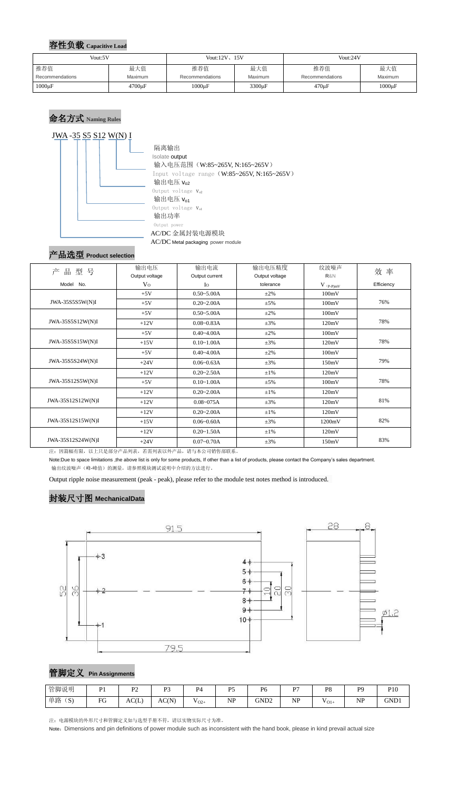#### 容性负载 **Capacitive Load**

# 命名方式 **Naming Rules**



 隔离输出 Isolate output 输入电压范围(W:85~265V, N:165~265V) Input voltage range (W:85~265V, N:165~265V) 输出电压  $V_{02}$ Output voltage  $V_{o2}$ 输出电压  $V_{01}$ Output voltage  $v_{o1}$ 输出功率 Output power AC/DC 金属封装电源模块 AC/DC Metal packaging power module

# 产品选型 **Product selection**

| 品<br>型号<br>产      | 输出电压           | 输出电流           | 输出电压精度                                                                      | 纹波噪声   | 效率         |  |
|-------------------|----------------|----------------|-----------------------------------------------------------------------------|--------|------------|--|
|                   | Output voltage | Output current | Output voltage                                                              | R&N    |            |  |
| Model No.         | V <sub>O</sub> | $I_{\rm O}$    | tolerance<br>$V$ $\mathrm{(}p\text{-}p\mathrm{)}\underline{m}\underline{V}$ |        | Efficiency |  |
|                   | $+5V$          | $0.50 - 5.00A$ | $\pm 2\%$                                                                   | 100mV  |            |  |
| JWA-35S5555W(N)I  | $+5V$          | $0.20 - 2.00A$ | $\pm$ 5%                                                                    | 100mV  | 76%        |  |
|                   | $+5V$          | $0.50 - 5.00A$ | $\pm 2\%$                                                                   | 100mV  |            |  |
| JWA-35S5S12W(N)I  | $+12V$         | $0.08 - 0.83A$ | $\pm 3\%$                                                                   | 120mV  | 78%        |  |
|                   | $+5V$          | $0.40 - 4.00A$ | $\pm 2\%$                                                                   | 100mV  |            |  |
| JWA-35S5S15W(N)I  | $+15V$         | $0.10 - 1.00A$ | $\pm 3\%$                                                                   | 120mV  | 78%        |  |
|                   | $+5V$          | $0.40 - 4.00A$ | $\pm 2\%$                                                                   | 100mV  |            |  |
| JWA-35S5S24W(N)I  | $+24V$         | $0.06 - 0.63A$ | $\pm 3\%$                                                                   | 150mV  | 79%        |  |
|                   | $+12V$         | $0.20 - 2.50A$ | $\pm 1\%$                                                                   | 120mV  |            |  |
| JWA-35S12S5W(N)I  | $+5V$          | $0.10 - 1.00A$ | $\pm$ 5%                                                                    | 100mV  | 78%        |  |
|                   | $+12V$         | $0.20 - 2.00A$ | $\pm 1\%$                                                                   | 120mV  |            |  |
| JWA-35S12S12W(N)I | $+12V$         | $0.08 - 075A$  | $\pm 3\%$                                                                   | 120mV  | 81%        |  |
|                   | $+12V$         | $0.20 - 2.00A$ | $\pm 1\%$                                                                   | 120mV  |            |  |
| JWA-35S12S15W(N)I | $+15V$         | $0.06 - 0.60A$ | $\pm 3\%$                                                                   | 1200mV | 82%        |  |
|                   | $+12V$         | $0.20 - 1.50A$ | $\pm 1\%$                                                                   | 120mV  |            |  |
| JWA-35S12S24W(N)I | $+24V$         | $0.07 - 0.70A$ | $\pm 3\%$                                                                   | 150mV  | 83%        |  |

注:因篇幅有限,以上只是部分产品列表,若需列表以外产品,请与本公司销售部联系。

Note:Due to space limitations ,the above list is only for some products, If other than a list of products, please contact the Company's sales department. 输出纹波噪声(峰-峰值)的测量,请参照模块测试说明中介绍的方法进行。

Output ripple noise measurement (peak - peak), please refer to the module test notes method is introduced.

# 封装尺寸图 **MechanicalData**



#### 管脚定义 **Pin Assignments**

注:电源模块的外形尺寸和管脚定义如与选型手册不符,请以实物实际尺寸为准。

Note: Dimensions and pin definitions of power module such as inconsistent with the hand book, please in kind prevail actual size

| Vout:5V         |              | Vout: $12V$ , $15V$ |              | Vout:24V        |             |  |
|-----------------|--------------|---------------------|--------------|-----------------|-------------|--|
| 推荐值             | 最大值          | 推荐值<br>最大值          |              | 推荐值<br>最大值      |             |  |
| Recommendations | Maximum      | Recommendations     | Maximum      | Recommendations | Maximum     |  |
| $1000\mu F$     | $4700 \mu F$ | $1000\mu F$         | $3300 \mu F$ | $470 \mu F$     | $1000\mu F$ |  |

| 管脚说明                      | D <sub>1</sub> | D <sub>0</sub>                    | $\mathbf{D}$ | $\mathbf{p}_A$                      | D5        | D6               | D7        | P <sub>8</sub> | <b>DO</b><br>- | D1 <sub>0</sub><br>ΊU |
|---------------------------|----------------|-----------------------------------|--------------|-------------------------------------|-----------|------------------|-----------|----------------|----------------|-----------------------|
| 单路<br>$\mathbf{C}$<br>.O. | EG<br>◡        | $\bigcap$ $\bigcap$<br>$A \cup L$ | AC(N)        | $ -$<br>$\mathbf{v}_{\mathrm{O2+}}$ | <b>NP</b> | GND <sub>2</sub> | <b>NP</b> | $V_{O1+}$      | <b>NP</b>      | GND1                  |